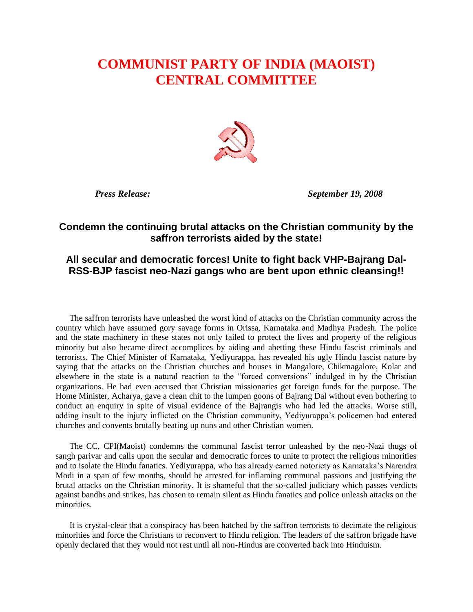## **COMMUNIST PARTY OF INDIA (MAOIST) CENTRAL COMMITTEE**



 *Press Release: September 19, 2008*

## **Condemn the continuing brutal attacks on the Christian community by the saffron terrorists aided by the state!**

## **All secular and democratic forces! Unite to fight back VHP-Bajrang Dal-RSS-BJP fascist neo-Nazi gangs who are bent upon ethnic cleansing!!**

The saffron terrorists have unleashed the worst kind of attacks on the Christian community across the country which have assumed gory savage forms in Orissa, Karnataka and Madhya Pradesh. The police and the state machinery in these states not only failed to protect the lives and property of the religious minority but also became direct accomplices by aiding and abetting these Hindu fascist criminals and terrorists. The Chief Minister of Karnataka, Yediyurappa, has revealed his ugly Hindu fascist nature by saying that the attacks on the Christian churches and houses in Mangalore, Chikmagalore, Kolar and elsewhere in the state is a natural reaction to the "forced conversions" indulged in by the Christian organizations. He had even accused that Christian missionaries get foreign funds for the purpose. The Home Minister, Acharya, gave a clean chit to the lumpen goons of Bajrang Dal without even bothering to conduct an enquiry in spite of visual evidence of the Bajrangis who had led the attacks. Worse still, adding insult to the injury inflicted on the Christian community, Yediyurappa's policemen had entered churches and convents brutally beating up nuns and other Christian women.

The CC, CPI(Maoist) condemns the communal fascist terror unleashed by the neo-Nazi thugs of sangh parivar and calls upon the secular and democratic forces to unite to protect the religious minorities and to isolate the Hindu fanatics. Yediyurappa, who has already earned notoriety as Karnataka's Narendra Modi in a span of few months, should be arrested for inflaming communal passions and justifying the brutal attacks on the Christian minority. It is shameful that the so-called judiciary which passes verdicts against bandhs and strikes, has chosen to remain silent as Hindu fanatics and police unleash attacks on the minorities.

It is crystal-clear that a conspiracy has been hatched by the saffron terrorists to decimate the religious minorities and force the Christians to reconvert to Hindu religion. The leaders of the saffron brigade have openly declared that they would not rest until all non-Hindus are converted back into Hinduism.